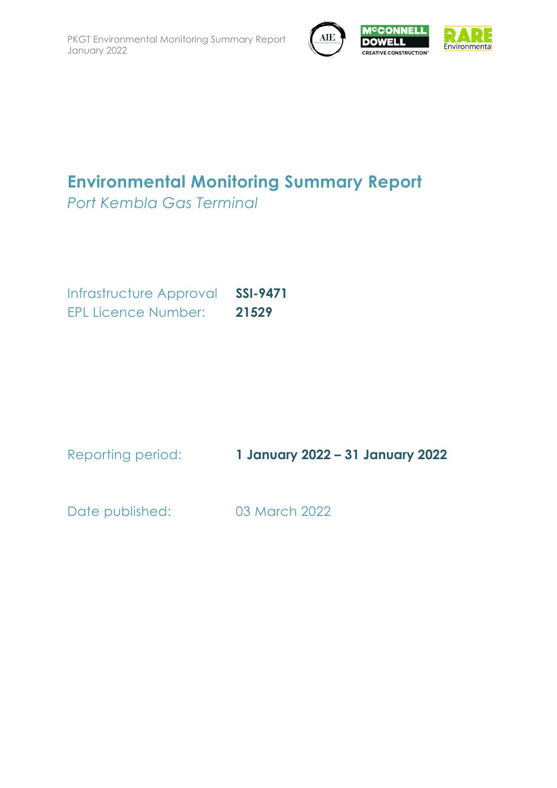



# **Environmental Monitoring Summary Report**

*Port Kembla Gas Terminal*

Infrastructure Approval **SSI-9471** EPL Licence Number: **21529**

Reporting period: **1 January 2022 – 31 January 2022**

Date published: 03 March 2022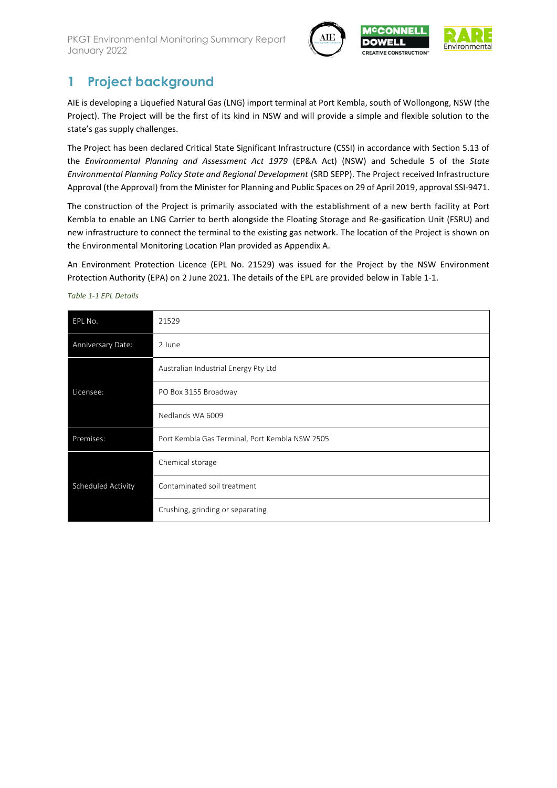

CON **DOWELL** 



## **1 Project background**

AIE is developing a Liquefied Natural Gas (LNG) import terminal at Port Kembla, south of Wollongong, NSW (the Project). The Project will be the first of its kind in NSW and will provide a simple and flexible solution to the state's gas supply challenges.

The Project has been declared Critical State Significant Infrastructure (CSSI) in accordance with Section 5.13 of the *Environmental Planning and Assessment Act 1979* (EP&A Act) (NSW) and Schedule 5 of the *State Environmental Planning Policy State and Regional Development* (SRD SEPP). The Project received Infrastructure Approval (the Approval) from the Minister for Planning and Public Spaces on 29 of April 2019, approval SSI-9471.

The construction of the Project is primarily associated with the establishment of a new berth facility at Port Kembla to enable an LNG Carrier to berth alongside the Floating Storage and Re-gasification Unit (FSRU) and new infrastructure to connect the terminal to the existing gas network. The location of the Project is shown on the Environmental Monitoring Location Plan provided as Appendix A.

An Environment Protection Licence (EPL No. 21529) was issued for the Project by the NSW Environment Protection Authority (EPA) on 2 June 2021. The details of the EPL are provided below i[n Table 1-1.](#page-1-0)

| EPL No.            | 21529                                          |
|--------------------|------------------------------------------------|
| Anniversary Date:  | 2 June                                         |
|                    | Australian Industrial Energy Pty Ltd           |
| Licensee:          | PO Box 3155 Broadway                           |
|                    | Nedlands WA 6009                               |
| Premises:          | Port Kembla Gas Terminal, Port Kembla NSW 2505 |
|                    | Chemical storage                               |
| Scheduled Activity | Contaminated soil treatment                    |
|                    | Crushing, grinding or separating               |

<span id="page-1-0"></span>*Table 1-1 EPL Details*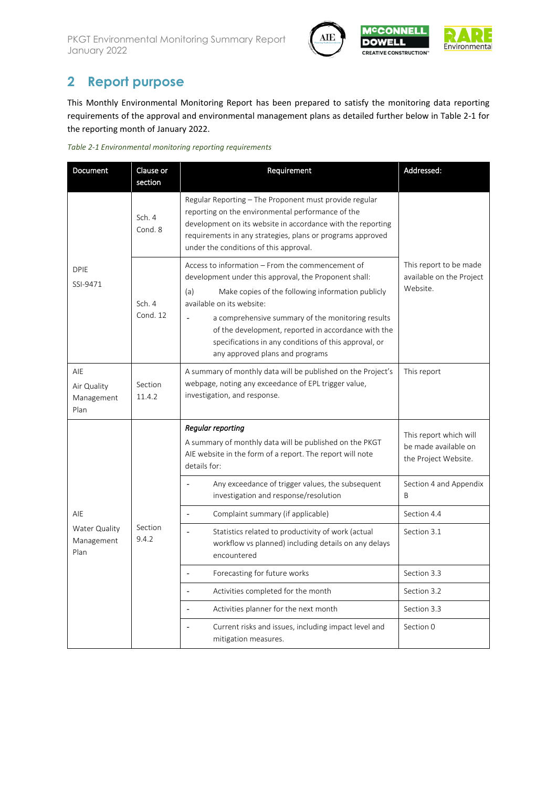



## **2 Report purpose**

This Monthly Environmental Monitoring Report has been prepared to satisfy the monitoring data reporting requirements of the approval and environmental management plans as detailed further below in [Table 2-1](#page-2-0) for the reporting month of January 2022.

<span id="page-2-0"></span>

| Document                                 | Clause or<br>section | Requirement                                                                                                                                                                                                                                                                                                                                                                                                | Addressed:                                                             |
|------------------------------------------|----------------------|------------------------------------------------------------------------------------------------------------------------------------------------------------------------------------------------------------------------------------------------------------------------------------------------------------------------------------------------------------------------------------------------------------|------------------------------------------------------------------------|
|                                          | Sch. 4<br>Cond. 8    | Regular Reporting – The Proponent must provide regular<br>reporting on the environmental performance of the<br>development on its website in accordance with the reporting<br>requirements in any strategies, plans or programs approved<br>under the conditions of this approval.                                                                                                                         |                                                                        |
| <b>DPIE</b><br>SSI-9471                  | Sch. 4<br>Cond. 12   | Access to information – From the commencement of<br>development under this approval, the Proponent shall:<br>Make copies of the following information publicly<br>(a)<br>available on its website:<br>a comprehensive summary of the monitoring results<br>of the development, reported in accordance with the<br>specifications in any conditions of this approval, or<br>any approved plans and programs | This report to be made<br>available on the Project<br>Website.         |
| AIF<br>Air Quality<br>Management<br>Plan | Section<br>11.4.2    | A summary of monthly data will be published on the Project's<br>webpage, noting any exceedance of EPL trigger value,<br>investigation, and response.                                                                                                                                                                                                                                                       | This report                                                            |
|                                          |                      | Regular reporting<br>A summary of monthly data will be published on the PKGT<br>AIE website in the form of a report. The report will note<br>details for:                                                                                                                                                                                                                                                  | This report which will<br>be made available on<br>the Project Website. |
|                                          | Section<br>9.4.2     | Any exceedance of trigger values, the subsequent<br>investigation and response/resolution                                                                                                                                                                                                                                                                                                                  | Section 4 and Appendix<br><sub>R</sub>                                 |
| AIE                                      |                      | Complaint summary (if applicable)                                                                                                                                                                                                                                                                                                                                                                          | Section 4.4                                                            |
| Water Quality<br>Management<br>Plan      |                      | Statistics related to productivity of work (actual<br>workflow vs planned) including details on any delays<br>encountered                                                                                                                                                                                                                                                                                  | Section 3.1                                                            |
|                                          |                      | Forecasting for future works<br>$\overline{a}$                                                                                                                                                                                                                                                                                                                                                             | Section 3.3                                                            |
|                                          |                      | Activities completed for the month                                                                                                                                                                                                                                                                                                                                                                         | Section 3.2                                                            |
|                                          |                      | Activities planner for the next month<br>$\overline{a}$                                                                                                                                                                                                                                                                                                                                                    | Section 3.3                                                            |
|                                          |                      | Current risks and issues, including impact level and<br>$\overline{a}$<br>mitigation measures.                                                                                                                                                                                                                                                                                                             | Section 0                                                              |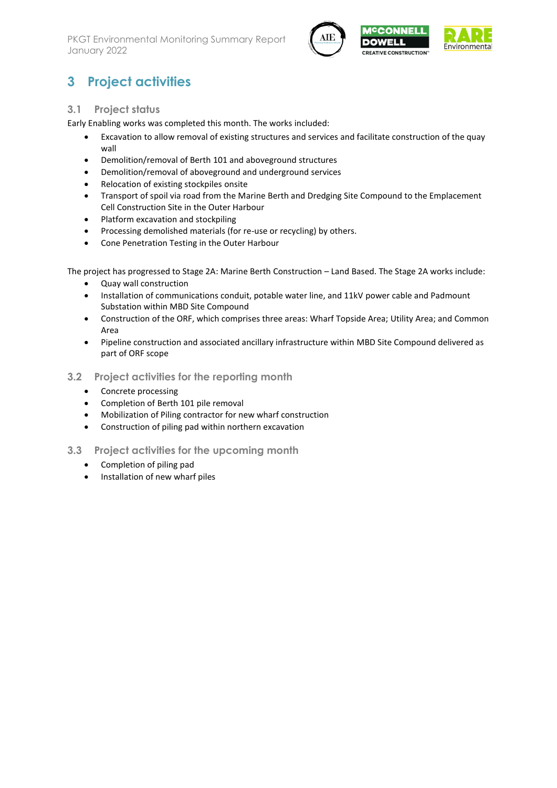



## **3 Project activities**

#### <span id="page-3-0"></span>**3.1 Project status**

Early Enabling works was completed this month. The works included:

- Excavation to allow removal of existing structures and services and facilitate construction of the quay wall
- Demolition/removal of Berth 101 and aboveground structures
- Demolition/removal of aboveground and underground services
- Relocation of existing stockpiles onsite
- Transport of spoil via road from the Marine Berth and Dredging Site Compound to the Emplacement Cell Construction Site in the Outer Harbour
- Platform excavation and stockpiling
- Processing demolished materials (for re-use or recycling) by others.
- Cone Penetration Testing in the Outer Harbour

The project has progressed to Stage 2A: Marine Berth Construction – Land Based. The Stage 2A works include:

- Quay wall construction
- Installation of communications conduit, potable water line, and 11kV power cable and Padmount Substation within MBD Site Compound
- Construction of the ORF, which comprises three areas: Wharf Topside Area; Utility Area; and Common Area
- Pipeline construction and associated ancillary infrastructure within MBD Site Compound delivered as part of ORF scope
- <span id="page-3-2"></span>**3.2 Project activities for the reporting month**
	- Concrete processing
	- Completion of Berth 101 pile removal
	- Mobilization of Piling contractor for new wharf construction
	- Construction of piling pad within northern excavation
- <span id="page-3-3"></span><span id="page-3-1"></span>**3.3 Project activities for the upcoming month**
	- Completion of piling pad
	- Installation of new wharf piles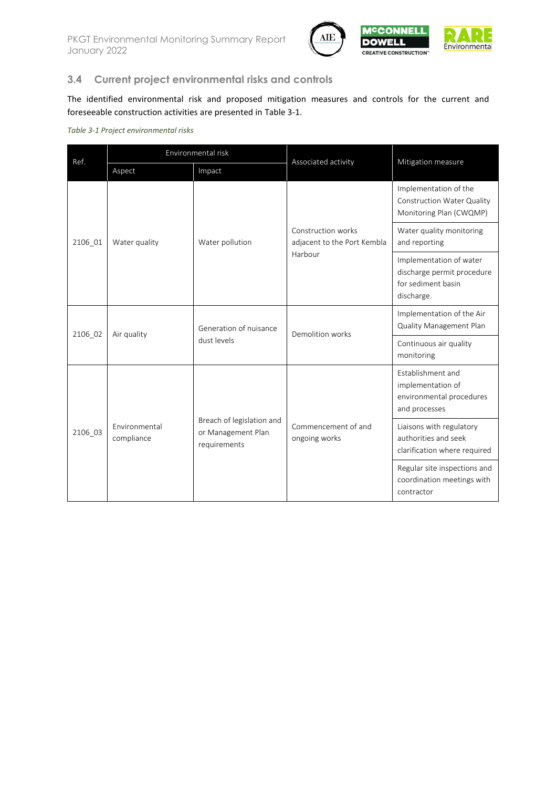



## **3.4 Current project environmental risks and controls**

The identified environmental risk and proposed mitigation measures and controls for the current and foreseeable construction activities are presented in [Table 3-1.](#page-4-0)

#### <span id="page-4-0"></span>*Table 3-1 Project environmental risks*

| Ref.    | Environmental risk          |                                                                 | Associated activity                               | Mitigation measure                                                                        |  |
|---------|-----------------------------|-----------------------------------------------------------------|---------------------------------------------------|-------------------------------------------------------------------------------------------|--|
|         | Aspect                      | Impact                                                          |                                                   |                                                                                           |  |
|         |                             |                                                                 |                                                   | Implementation of the<br>Construction Water Quality<br>Monitoring Plan (CWQMP)            |  |
| 2106_01 | Water quality               | Water pollution                                                 | Construction works<br>adjacent to the Port Kembla | Water quality monitoring<br>and reporting                                                 |  |
|         |                             |                                                                 | Harbour                                           | Implementation of water<br>discharge permit procedure<br>for sediment basin<br>discharge. |  |
| 2106 02 | Air quality                 | Generation of nuisance                                          | Demolition works                                  | Implementation of the Air<br>Quality Management Plan                                      |  |
|         |                             | dust levels                                                     |                                                   | Continuous air quality<br>monitoring                                                      |  |
|         |                             |                                                                 |                                                   | Establishment and<br>implementation of<br>environmental procedures<br>and processes       |  |
| 2106 03 | Environmental<br>compliance | Breach of legislation and<br>or Management Plan<br>requirements | Commencement of and<br>ongoing works              | Liaisons with regulatory<br>authorities and seek<br>clarification where required          |  |
|         |                             |                                                                 |                                                   | Regular site inspections and<br>coordination meetings with<br>contractor                  |  |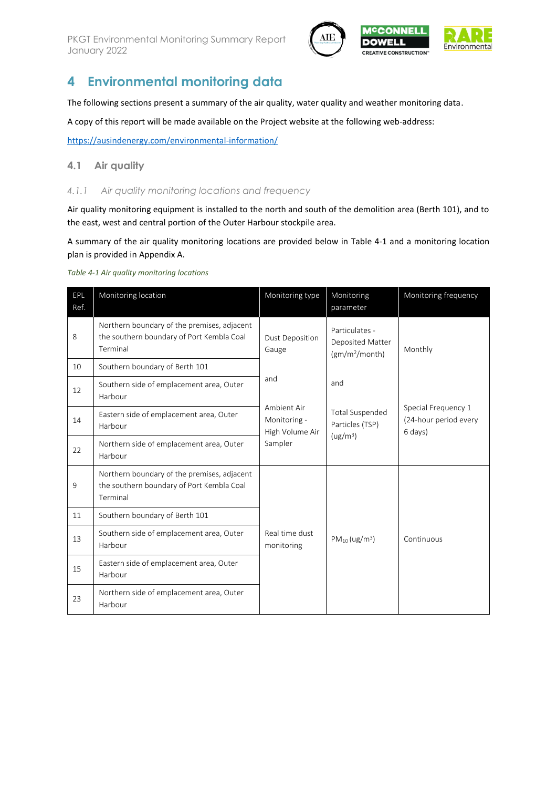

## <span id="page-5-0"></span>**4 Environmental monitoring data**

The following sections present a summary of the air quality, water quality and weather monitoring data.

A copy of this report will be made available on the Project website at the following web-address:

<https://ausindenergy.com/environmental-information/>

#### **4.1 Air quality**

#### *4.1.1 Air quality monitoring locations and frequency*

Air quality monitoring equipment is installed to the north and south of the demolition area (Berth 101), and to the east, west and central portion of the Outer Harbour stockpile area.

A summary of the air quality monitoring locations are provided below in [Table 4-1](#page-5-1) and a monitoring location plan is provided in Appendix A.

#### <span id="page-5-1"></span>*Table 4-1 Air quality monitoring locations*

| EPL<br>Ref. | Monitoring location                                                                                  | Monitoring type                                | Monitoring<br>parameter                                          | Monitoring frequency                                    |
|-------------|------------------------------------------------------------------------------------------------------|------------------------------------------------|------------------------------------------------------------------|---------------------------------------------------------|
| 8           | Northern boundary of the premises, adjacent<br>the southern boundary of Port Kembla Coal<br>Terminal | <b>Dust Deposition</b><br>Gauge                | Particulates -<br>Deposited Matter<br>(gm/m <sup>2</sup> /month) | Monthly                                                 |
| 10          | Southern boundary of Berth 101                                                                       |                                                |                                                                  |                                                         |
| 12          | Southern side of emplacement area, Outer<br>Harbour                                                  | and                                            | and                                                              |                                                         |
| 14          | Eastern side of emplacement area, Outer<br>Harbour                                                   | Ambient Air<br>Monitoring -<br>High Volume Air | <b>Total Suspended</b><br>Particles (TSP)                        | Special Frequency 1<br>(24-hour period every<br>6 days) |
| 22          | Northern side of emplacement area, Outer<br>Harbour                                                  | Sampler                                        | (ug/m <sup>3</sup> )                                             |                                                         |
| 9           | Northern boundary of the premises, adjacent<br>the southern boundary of Port Kembla Coal<br>Terminal |                                                |                                                                  |                                                         |
| 11          | Southern boundary of Berth 101                                                                       |                                                |                                                                  |                                                         |
| 13          | Southern side of emplacement area, Outer<br>Harbour                                                  | Real time dust<br>monitoring                   | $PM_{10} (ug/m^3)$                                               | Continuous                                              |
| 15          | Eastern side of emplacement area, Outer<br>Harbour                                                   |                                                |                                                                  |                                                         |
| 23          | Northern side of emplacement area, Outer<br>Harbour                                                  |                                                |                                                                  |                                                         |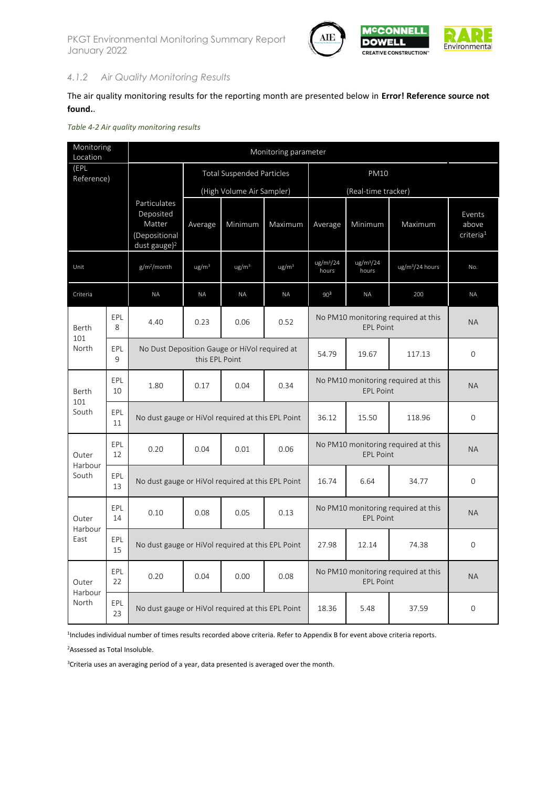

### *4.1.2 Air Quality Monitoring Results*

The air quality monitoring results for the reporting month are presented below in **Error! Reference source not found.**.

|  |  |  | Table 4-2 Air quality monitoring results |  |
|--|--|--|------------------------------------------|--|
|--|--|--|------------------------------------------|--|

| Monitoring<br>Location |                     |                                                                                  | Monitoring parameter             |                   |                   |                                                         |                                |                                     |                                          |  |
|------------------------|---------------------|----------------------------------------------------------------------------------|----------------------------------|-------------------|-------------------|---------------------------------------------------------|--------------------------------|-------------------------------------|------------------------------------------|--|
| (EPL<br>Reference)     |                     |                                                                                  | <b>Total Suspended Particles</b> |                   |                   | PM10                                                    |                                |                                     |                                          |  |
|                        |                     |                                                                                  | (High Volume Air Sampler)        |                   |                   |                                                         | (Real-time tracker)            |                                     |                                          |  |
|                        |                     | Particulates<br>Deposited<br>Matter<br>(Depositional<br>dust gauge) <sup>2</sup> | Average                          | Minimum           | Maximum           | Average                                                 | Minimum                        | Maximum                             | Events<br>above<br>criteria <sup>1</sup> |  |
| Unit                   |                     | $g/m^2/m$ onth                                                                   | $\mu$ g/m <sup>3</sup>           | ug/m <sup>3</sup> | ug/m <sup>3</sup> | ug/m <sup>3</sup> /24<br>hours                          | ug/m <sup>3</sup> /24<br>hours | ug/m <sup>3</sup> /24 hours         | No.                                      |  |
| Criteria               |                     | <b>ΝΑ</b>                                                                        | <b>NA</b>                        | <b>NA</b>         | <b>NA</b>         | 90 <sup>3</sup>                                         | <b>NA</b>                      | 200                                 | <b>NA</b>                                |  |
| Berth                  | EPL<br>8            | 4.40                                                                             | 0.23                             | 0.06              | 0.52              |                                                         | <b>EPL Point</b>               | No PM10 monitoring required at this | <b>NA</b>                                |  |
| 101<br>North           | EPL<br>$\mathsf{Q}$ | No Dust Deposition Gauge or HiVol required at                                    | this EPL Point                   |                   | 54.79             | 19.67                                                   | 117.13                         | 0                                   |                                          |  |
| Berth<br>101           | EPL<br>10           | 1.80                                                                             | 0.17                             | 0.04              | 0.34              | No PM10 monitoring required at this<br><b>EPL Point</b> |                                |                                     | <b>NA</b>                                |  |
| South                  | EPL<br>11           | No dust gauge or HiVol required at this EPL Point                                |                                  |                   |                   | 36.12                                                   | 15.50                          | 118.96                              | 0                                        |  |
| Outer<br>Harbour       | EPL<br>12           | 0.20                                                                             | 0.04                             | 0.01              | 0.06              |                                                         | <b>EPL Point</b>               | No PM10 monitoring required at this | <b>NA</b>                                |  |
| South                  | EPL<br>13           | No dust gauge or HiVol required at this EPL Point                                |                                  |                   | 16.74             | 6.64                                                    | 34.77                          | 0                                   |                                          |  |
| Outer<br>Harbour       | EPL<br>14           | 0.10                                                                             | 0.08                             | 0.05              | 0.13              |                                                         | <b>EPL Point</b>               | No PM10 monitoring required at this | <b>NA</b>                                |  |
| East                   | EPL<br>15           | No dust gauge or HiVol required at this EPL Point                                |                                  |                   |                   | 27.98                                                   | 12.14                          | 74.38                               | 0                                        |  |
| Outer<br>Harbour       | EPL<br>22           | 0.20                                                                             | 0.04                             | 0.00              | 0.08              |                                                         | <b>EPL Point</b>               | No PM10 monitoring required at this | <b>NA</b>                                |  |
| North                  | EPL<br>23           | No dust gauge or HiVol required at this EPL Point                                |                                  |                   |                   | 18.36                                                   | 5.48                           | 37.59                               | 0                                        |  |

1 Includes individual number of times results recorded above criteria. Refer to Appendix B for event above criteria reports.

<sup>2</sup>Assessed as Total Insoluble.

<sup>3</sup>Criteria uses an averaging period of a year, data presented is averaged over the month.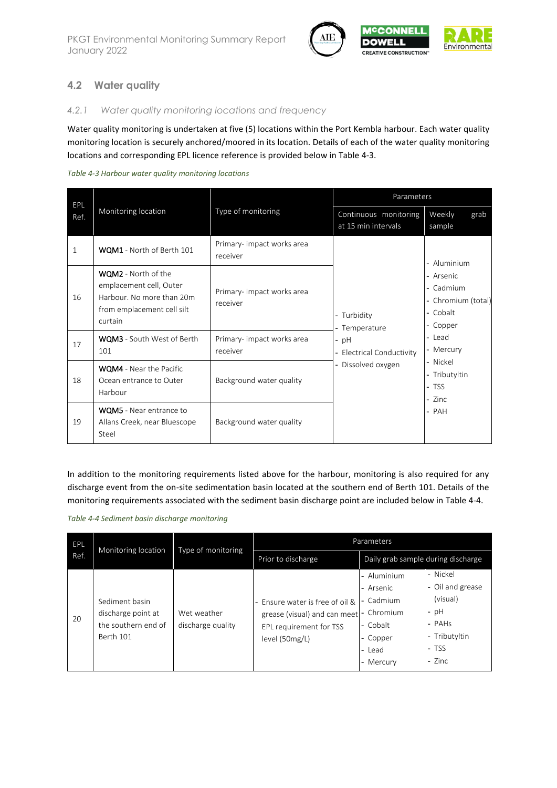

### **4.2 Water quality**

#### *4.2.1 Water quality monitoring locations and frequency*

Water quality monitoring is undertaken at five (5) locations within the Port Kembla harbour. Each water quality monitoring location is securely anchored/moored in its location. Details of each of the water quality monitoring locations and corresponding EPL licence reference is provided below in [Table 4-3.](#page-7-0)

<span id="page-7-0"></span>

| EPL          |                                                                                                                             |                                        | Parameters                                   |                                                                      |  |  |
|--------------|-----------------------------------------------------------------------------------------------------------------------------|----------------------------------------|----------------------------------------------|----------------------------------------------------------------------|--|--|
| Ref.         | Monitoring location                                                                                                         | Type of monitoring                     | Continuous monitoring<br>at 15 min intervals | Weekly<br>grab<br>sample                                             |  |  |
| $\mathbf{1}$ | WQM1 - North of Berth 101                                                                                                   | Primary- impact works area<br>receiver |                                              | - Aluminium                                                          |  |  |
| 16           | <b>WQM2</b> - North of the<br>emplacement cell, Outer<br>Harbour. No more than 20m<br>from emplacement cell silt<br>curtain | Primary- impact works area<br>receiver | - Turbidity<br>- Temperature                 | - Arsenic<br>- Cadmium<br>- Chromium (total)<br>- Cobalt<br>- Copper |  |  |
| 17           | <b>WQM3</b> - South West of Berth<br>101                                                                                    | Primary- impact works area<br>receiver | $-$ pH<br><b>Electrical Conductivity</b>     | - Lead<br>- Mercury                                                  |  |  |
| 18           | <b>WQM4</b> - Near the Pacific<br>Ocean entrance to Outer<br>Harbour                                                        | Background water quality               | Dissolved oxygen                             | - Nickel<br>- Tributyltin<br>- TSS<br>- Zinc                         |  |  |
| 19           | <b>WQM5</b> - Near entrance to<br>Allans Creek, near Bluescope<br>Steel                                                     | Background water quality               |                                              | - PAH                                                                |  |  |

In addition to the monitoring requirements listed above for the harbour, monitoring is also required for any discharge event from the on-site sedimentation basin located at the southern end of Berth 101. Details of the monitoring requirements associated with the sediment basin discharge point are included below i[n Table 4-4.](#page-7-1)

<span id="page-7-1"></span>

| Table 4-4 Sediment basin discharge monitoring |  |  |  |
|-----------------------------------------------|--|--|--|
|-----------------------------------------------|--|--|--|

| EPL  | Monitoring location                                                      | Type of monitoring               | Parameters                                                                                                              |                                                                                      |                                                                                                  |  |
|------|--------------------------------------------------------------------------|----------------------------------|-------------------------------------------------------------------------------------------------------------------------|--------------------------------------------------------------------------------------|--------------------------------------------------------------------------------------------------|--|
| Ref. |                                                                          |                                  | Prior to discharge                                                                                                      | Daily grab sample during discharge                                                   |                                                                                                  |  |
| 20   | Sediment basin<br>discharge point at<br>the southern end of<br>Berth 101 | Wet weather<br>discharge quality | - Ensure water is free of oil &<br>grease (visual) and can meet - Chromium<br>EPL requirement for TSS<br>level (50mg/L) | - Aluminium<br>- Arsenic<br>- Cadmium<br>- Cobalt<br>- Copper<br>- Lead<br>- Mercury | - Nickel<br>- Oil and grease<br>(visual)<br>$-$ pH<br>- PAHs<br>- Tributyltin<br>- TSS<br>- Zinc |  |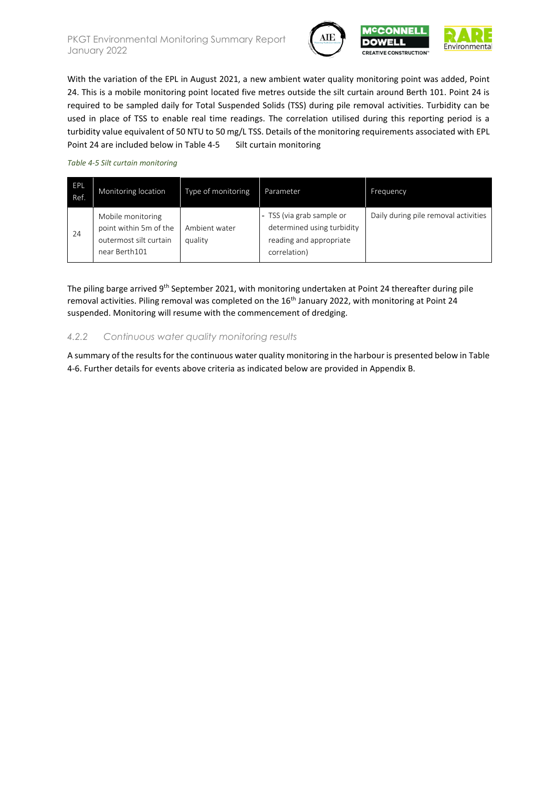



With the variation of the EPL in August 2021, a new ambient water quality monitoring point was added, Point 24. This is a mobile monitoring point located five metres outside the silt curtain around Berth 101. Point 24 is required to be sampled daily for Total Suspended Solids (TSS) during pile removal activities. Turbidity can be used in place of TSS to enable real time readings. The correlation utilised during this reporting period is a turbidity value equivalent of 50 NTU to 50 mg/L TSS. Details of the monitoring requirements associated with EPL Point 24 are included below in Table 4-5 Silt curtain [monitoring](#page-8-0)

#### <span id="page-8-0"></span>*Table 4-5 Silt curtain monitoring*

| EPL<br>Ref. | Monitoring location                                                                    | Type of monitoring       | Parameter                                                                                        | Frequency                            |
|-------------|----------------------------------------------------------------------------------------|--------------------------|--------------------------------------------------------------------------------------------------|--------------------------------------|
| 24          | Mobile monitoring<br>point within 5m of the<br>outermost silt curtain<br>near Berth101 | Ambient water<br>quality | TSS (via grab sample or<br>determined using turbidity<br>reading and appropriate<br>correlation) | Daily during pile removal activities |

The piling barge arrived 9<sup>th</sup> September 2021, with monitoring undertaken at Point 24 thereafter during pile removal activities. Piling removal was completed on the 16<sup>th</sup> January 2022, with monitoring at Point 24 suspended. Monitoring will resume with the commencement of dredging.

#### *4.2.2 Continuous water quality monitoring results*

A summary of the results for the continuous water quality monitoring in the harbour is presented below i[n Table](#page-9-0)  [4-6.](#page-9-0) Further details for events above criteria as indicated below are provided in Appendix B.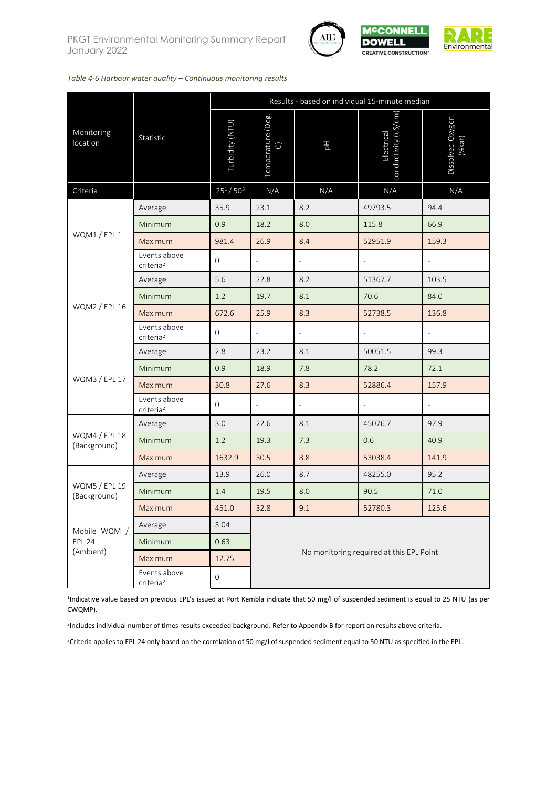



#### <span id="page-9-0"></span>*Table 4-6 Harbour water quality – Continuous monitoring results*

|                               |                                       | Results - based on individual 15-minute median |                                 |                          |                                          |                           |  |  |
|-------------------------------|---------------------------------------|------------------------------------------------|---------------------------------|--------------------------|------------------------------------------|---------------------------|--|--|
| Monitoring<br>location        | Statistic                             | Turbidity (NTU)                                | Temperature (Deg.<br>$\bigcirc$ | 공                        | conductivity (uS/cm<br>Electrical        | Dissolved Oxygen<br>%sat) |  |  |
| Criteria                      |                                       | $25^1/50^3$                                    | N/A                             | N/A                      | N/A                                      | N/A                       |  |  |
|                               | Average                               | 35.9                                           | 23.1                            | 8.2                      | 49793.5                                  | 94.4                      |  |  |
| WQM1 / EPL 1                  | Minimum                               | 0.9                                            | 18.2                            | 8.0                      | 115.8                                    | 66.9                      |  |  |
|                               | Maximum                               | 981.4                                          | 26.9                            | 8.4                      | 52951.9                                  | 159.3                     |  |  |
|                               | Events above<br>criteria <sup>2</sup> | $\mathbf 0$                                    |                                 | $\bar{ }$                |                                          |                           |  |  |
| WQM2 / EPL 16                 | Average                               | 5.6                                            | 22.8                            | 8.2                      | 51367.7                                  | 103.5                     |  |  |
|                               | Minimum                               | 1.2                                            | 19.7                            | 8.1                      | 70.6                                     | 84.0                      |  |  |
|                               | Maximum                               | 672.6                                          | 25.9                            | 8.3                      | 52738.5                                  | 136.8                     |  |  |
|                               | Events above<br>criteria <sup>2</sup> | $\mathbf{0}$                                   | $\overline{\phantom{0}}$        | $\overline{a}$           |                                          | $\overline{\phantom{a}}$  |  |  |
|                               | Average                               | 2.8                                            | 23.2                            | 8.1                      | 50051.5                                  | 99.3                      |  |  |
|                               | Minimum                               | 0.9                                            | 18.9                            | 7.8                      | 78.2                                     | 72.1                      |  |  |
| WQM3 / EPL 17                 | Maximum                               | 30.8                                           | 27.6                            | 8.3                      | 52886.4                                  | 157.9                     |  |  |
|                               | Events above<br>criteria <sup>2</sup> | 0                                              | $\overline{\phantom{a}}$        | $\overline{\phantom{a}}$ | $\overline{a}$                           | $\overline{\phantom{a}}$  |  |  |
|                               | Average                               | 3.0                                            | 22.6                            | 8.1                      | 45076.7                                  | 97.9                      |  |  |
| WQM4 / EPL 18<br>(Background) | Minimum                               | 1.2                                            | 19.3                            | 7.3                      | 0.6                                      | 40.9                      |  |  |
|                               | Maximum                               | 1632.9                                         | 30.5                            | 8.8                      | 53038.4                                  | 141.9                     |  |  |
|                               | Average                               | 13.9                                           | 26.0                            | 8.7                      | 48255.0                                  | 95.2                      |  |  |
| WQM5 / EPL 19<br>(Background) | Minimum                               | 1.4                                            | 19.5                            | 8.0                      | 90.5                                     | 71.0                      |  |  |
|                               | Maximum                               | 451.0                                          | 32.8                            | 9.1                      | 52780.3                                  | 125.6                     |  |  |
| Mobile WQM /                  | Average                               | 3.04                                           |                                 |                          |                                          |                           |  |  |
| <b>EPL 24</b>                 | Minimum                               | 0.63                                           |                                 |                          |                                          |                           |  |  |
| (Ambient)                     | Maximum                               | 12.75                                          |                                 |                          | No monitoring required at this EPL Point |                           |  |  |
|                               | Events above<br>criteria <sup>2</sup> | $\mathbf 0$                                    |                                 |                          |                                          |                           |  |  |

<sup>1</sup>Indicative value based on previous EPL's issued at Port Kembla indicate that 50 mg/l of suspended sediment is equal to 25 NTU (as per CWQMP).

2 Includes individual number of times results exceeded background. Refer to Appendix B for report on results above criteria.

<sup>3</sup>Criteria applies to EPL 24 only based on the correlation of 50 mg/l of suspended sediment equal to 50 NTU as specified in the EPL.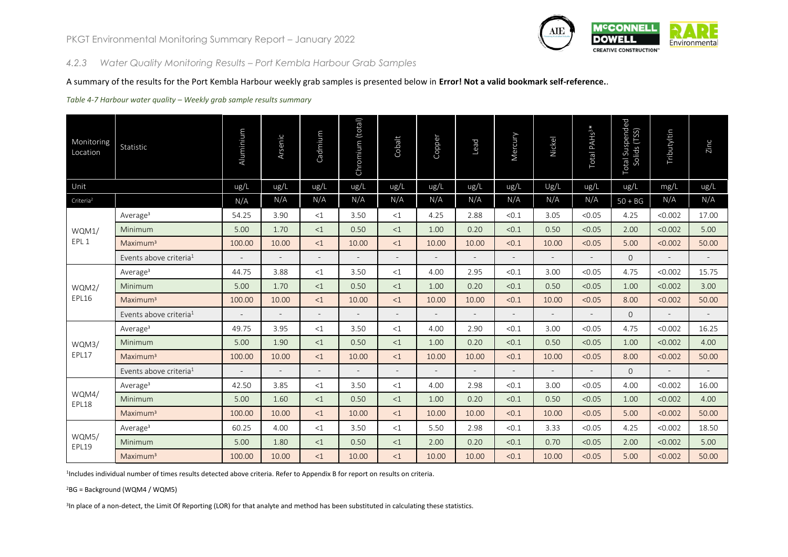

#### *4.2.3 Water Quality Monitoring Results – Port Kembla Harbour Grab Samples*

#### A summary of the results for the Port Kembla Harbour weekly grab samples is presented below in **Error! Not a valid bookmark self-reference.**.

#### *Table 4-7 Harbour water quality – Weekly grab sample results summary*

| Monitoring<br>Location | Statistic                          | Aluminium | Arsenic                  | Cadmium                  | Chromium (total)         | Cobalt         | Copper                   | Lead                     | Mercury                  | Nickel                   | Total PAH <sub>S3*</sub> | Total Suspended<br>Solids (TSS) | Tributyltin              | Zinc                     |
|------------------------|------------------------------------|-----------|--------------------------|--------------------------|--------------------------|----------------|--------------------------|--------------------------|--------------------------|--------------------------|--------------------------|---------------------------------|--------------------------|--------------------------|
| Unit                   |                                    | ug/L      | ug/L                     | ug/L                     | ug/L                     | ug/L           | ug/L                     | ug/L                     | ug/L                     | Ug/L                     | ug/L                     | ug/L                            | mg/L                     | ug/L                     |
| Criteria <sup>2</sup>  |                                    | N/A       | N/A                      | N/A                      | N/A                      | N/A            | N/A                      | N/A                      | N/A                      | N/A                      | N/A                      | $50 + BG$                       | N/A                      | N/A                      |
|                        | Average <sup>3</sup>               | 54.25     | 3.90                     | <1                       | 3.50                     | <1             | 4.25                     | 2.88                     | < 0.1                    | 3.05                     | < 0.05                   | 4.25                            | < 0.002                  | 17.00                    |
| WQM1/                  | Minimum                            | 5.00      | 1.70                     | <1                       | 0.50                     | <1             | 1.00                     | 0.20                     | < 0.1                    | 0.50                     | < 0.05                   | 2.00                            | < 0.002                  | 5.00                     |
| EPL 1                  | Maximum <sup>3</sup>               | 100.00    | 10.00                    | <1                       | 10.00                    | <1             | 10.00                    | 10.00                    | < 0.1                    | 10.00                    | < 0.05                   | 5.00                            | < 0.002                  | 50.00                    |
|                        | Events above criteria <sup>1</sup> |           | $\overline{\phantom{a}}$ | $\overline{\phantom{a}}$ | $\overline{\phantom{a}}$ | $\blacksquare$ | $\overline{\phantom{a}}$ | $\overline{\phantom{a}}$ | $\overline{\phantom{a}}$ | $\overline{\phantom{a}}$ | $\overline{\phantom{a}}$ | $\overline{0}$                  | $\overline{\phantom{a}}$ | $\overline{\phantom{a}}$ |
| WQM2/<br>EPL16         | Average $3$                        | 44.75     | 3.88                     | <1                       | 3.50                     | <1             | 4.00                     | 2.95                     | < 0.1                    | 3.00                     | < 0.05                   | 4.75                            | < 0.002                  | 15.75                    |
|                        | Minimum                            | 5.00      | 1.70                     | <1                       | 0.50                     | <1             | 1.00                     | 0.20                     | < 0.1                    | 0.50                     | < 0.05                   | 1.00                            | < 0.002                  | 3.00                     |
|                        | Maximum <sup>3</sup>               | 100.00    | 10.00                    | <1                       | 10.00                    | $\leq$ 1       | 10.00                    | 10.00                    | < 0.1                    | 10.00                    | < 0.05                   | 8.00                            | < 0.002                  | 50.00                    |
|                        | Events above criteria <sup>1</sup> |           | $\overline{a}$           | $\sim$                   |                          | $\overline{a}$ |                          | $\overline{a}$           | $\overline{\phantom{a}}$ |                          | $\overline{a}$           | $\overline{0}$                  | $\overline{a}$           | $\equiv$                 |
|                        | Average <sup>3</sup>               | 49.75     | 3.95                     | <1                       | 3.50                     | <1             | 4.00                     | 2.90                     | < 0.1                    | 3.00                     | < 0.05                   | 4.75                            | < 0.002                  | 16.25                    |
| WQM3/                  | Minimum                            | 5.00      | 1.90                     | <1                       | 0.50                     | <1             | 1.00                     | 0.20                     | < 0.1                    | 0.50                     | < 0.05                   | 1.00                            | < 0.002                  | 4.00                     |
| EPL17                  | Maximum <sup>3</sup>               | 100.00    | 10.00                    | <1                       | 10.00                    | <1             | 10.00                    | 10.00                    | < 0.1                    | 10.00                    | < 0.05                   | 8.00                            | < 0.002                  | 50.00                    |
|                        | Events above criteria <sup>1</sup> |           |                          | $\overline{\phantom{0}}$ |                          | $\overline{a}$ |                          |                          |                          |                          | $\overline{a}$           | $\Omega$                        | $\overline{a}$           | $\sim$                   |
|                        | Average <sup>3</sup>               | 42.50     | 3.85                     | <1                       | 3.50                     | <1             | 4.00                     | 2.98                     | < 0.1                    | 3.00                     | < 0.05                   | 4.00                            | < 0.002                  | 16.00                    |
| WQM4/<br>EPL18         | Minimum                            | 5.00      | 1.60                     | <1                       | 0.50                     | <1             | 1.00                     | 0.20                     | < 0.1                    | 0.50                     | < 0.05                   | 1.00                            | < 0.002                  | 4.00                     |
|                        | Maximum <sup>3</sup>               | 100.00    | 10.00                    | <1                       | 10.00                    | <1             | 10.00                    | 10.00                    | < 0.1                    | 10.00                    | < 0.05                   | 5.00                            | < 0.002                  | 50.00                    |
|                        | Average <sup>3</sup>               | 60.25     | 4.00                     | <1                       | 3.50                     | <1             | 5.50                     | 2.98                     | < 0.1                    | 3.33                     | < 0.05                   | 4.25                            | < 0.002                  | 18.50                    |
| WQM5/<br>EPL19         | Minimum                            | 5.00      | 1.80                     | <1                       | 0.50                     | <1             | 2.00                     | 0.20                     | < 0.1                    | 0.70                     | < 0.05                   | 2.00                            | < 0.002                  | 5.00                     |
|                        | Maximum <sup>3</sup>               | 100.00    | 10.00                    | <1                       | 10.00                    | <1             | 10.00                    | 10.00                    | < 0.1                    | 10.00                    | < 0.05                   | 5.00                            | < 0.002                  | 50.00                    |

1 Includes individual number of times results detected above criteria. Refer to Appendix B for report on results on criteria.

<sup>2</sup>BG = Background (WQM4 / WQM5)

3 In place of a non-detect, the Limit Of Reporting (LOR) for that analyte and method has been substituted in calculating these statistics.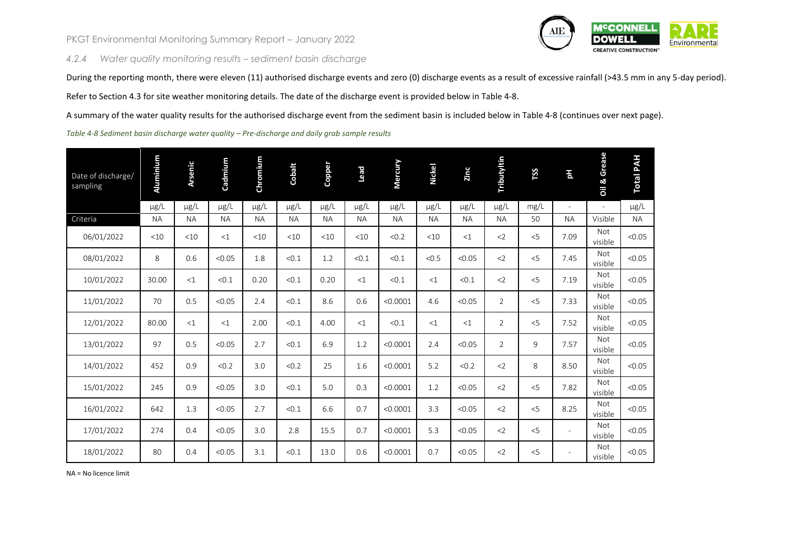*4.2.4 Water quality monitoring results – sediment basin discharge*



During the reporting month, there were eleven (11) authorised discharge events and zero (0) discharge events as a result of excessive rainfall (>43.5 mm in any 5-day period).

Refer to Section [4.3](#page-12-0) for site weather monitoring details. The date of the discharge event is provided below i[n Table 4-8.](#page-11-0)

A summary of the water quality results for the authorised discharge event from the sediment basin is included below in [Table 4-8](#page-11-0) (continues over next page).

<span id="page-11-0"></span>*Table 4-8 Sediment basin discharge water quality – Pre-discharge and daily grab sample results*

| Date of discharge/<br>sampling | Aluminium | <b>Arsenic</b> | Cadmium   | Chromium  | Cobalt    | Copper    | bead      | Mercury   | <b>Nickel</b> | Zinc      | Tributyltin    | <b>TSS</b> | 픲                        | Oil & Grease             | <b>Total PAH</b> |
|--------------------------------|-----------|----------------|-----------|-----------|-----------|-----------|-----------|-----------|---------------|-----------|----------------|------------|--------------------------|--------------------------|------------------|
|                                | $\mu$ g/L | $\mu$ g/L      | $\mu$ g/L | $\mu$ g/L | $\mu$ g/L | µg/L      | µg/L      | $\mu$ g/L | $\mu$ g/L     | $\mu$ g/L | µg/L           | mg/L       | $\sim$                   | $\overline{\phantom{a}}$ | $\mu$ g/L        |
| Criteria                       | <b>NA</b> | <b>NA</b>      | <b>NA</b> | <b>NA</b> | <b>NA</b> | <b>NA</b> | <b>NA</b> | <b>NA</b> | <b>NA</b>     | <b>NA</b> | <b>NA</b>      | 50         | <b>NA</b>                | Visible                  | <b>NA</b>        |
| 06/01/2022                     | <10       | <10            | <1        | <10       | <10       | <10       | <10       | < 0.2     | <10           | <1        | $<$ 2          | < 5        | 7.09                     | Not<br>visible           | < 0.05           |
| 08/01/2022                     | 8         | 0.6            | < 0.05    | 1.8       | < 0.1     | 1.2       | < 0.1     | < 0.1     | < 0.5         | < 0.05    | $2$            | < 5        | 7.45                     | <b>Not</b><br>visible    | < 0.05           |
| 10/01/2022                     | 30.00     | <1             | < 0.1     | 0.20      | < 0.1     | 0.20      | <1        | < 0.1     | <1            | < 0.1     | $2$            | < 5        | 7.19                     | Not<br>visible           | < 0.05           |
| 11/01/2022                     | 70        | 0.5            | < 0.05    | 2.4       | < 0.1     | 8.6       | 0.6       | < 0.0001  | 4.6           | < 0.05    | $\overline{2}$ | < 5        | 7.33                     | Not<br>visible           | < 0.05           |
| 12/01/2022                     | 80.00     | <1             | <1        | 2.00      | < 0.1     | 4.00      | <1        | < 0.1     | <1            | <1        | 2              | < 5        | 7.52                     | Not<br>visible           | < 0.05           |
| 13/01/2022                     | 97        | 0.5            | < 0.05    | 2.7       | < 0.1     | 6.9       | 1.2       | < 0.0001  | 2.4           | < 0.05    | $\overline{2}$ | 9          | 7.57                     | <b>Not</b><br>visible    | < 0.05           |
| 14/01/2022                     | 452       | 0.9            | < 0.2     | 3.0       | < 0.2     | 25        | 1.6       | < 0.0001  | 5.2           | < 0.2     | $<$ 2          | 8          | 8.50                     | Not<br>visible           | < 0.05           |
| 15/01/2022                     | 245       | 0.9            | < 0.05    | 3.0       | < 0.1     | 5.0       | 0.3       | < 0.0001  | 1.2           | < 0.05    | $2$            | < 5        | 7.82                     | <b>Not</b><br>visible    | < 0.05           |
| 16/01/2022                     | 642       | 1.3            | < 0.05    | 2.7       | < 0.1     | 6.6       | 0.7       | < 0.0001  | 3.3           | < 0.05    | $<$ 2          | < 5        | 8.25                     | Not<br>visible           | < 0.05           |
| 17/01/2022                     | 274       | 0.4            | < 0.05    | 3.0       | 2.8       | 15.5      | 0.7       | < 0.0001  | 5.3           | < 0.05    | $<$ 2          | $<$ 5      | $\overline{\phantom{a}}$ | Not<br>visible           | < 0.05           |
| 18/01/2022                     | 80        | 0.4            | < 0.05    | 3.1       | < 0.1     | 13.0      | 0.6       | < 0.0001  | 0.7           | < 0.05    | $2$            | < 5        |                          | Not<br>visible           | < 0.05           |

NA = No licence limit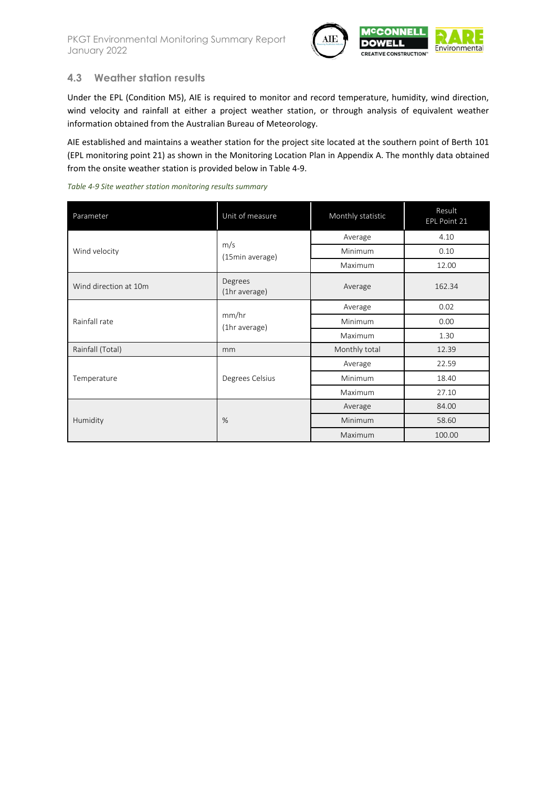

### <span id="page-12-0"></span>**4.3 Weather station results**

Under the EPL (Condition M5), AIE is required to monitor and record temperature, humidity, wind direction, wind velocity and rainfall at either a project weather station, or through analysis of equivalent weather information obtained from the Australian Bureau of Meteorology.

AIE established and maintains a weather station for the project site located at the southern point of Berth 101 (EPL monitoring point 21) as shown in the Monitoring Location Plan in Appendix A. The monthly data obtained from the onsite weather station is provided below in [Table 4-9.](#page-12-1)

<span id="page-12-1"></span>

| Parameter             | Unit of measure          | Monthly statistic | Result<br>EPL Point 21 |  |  |
|-----------------------|--------------------------|-------------------|------------------------|--|--|
|                       |                          | Average           | 4.10                   |  |  |
| Wind velocity         | m/s<br>(15min average)   | <b>Minimum</b>    | 0.10                   |  |  |
|                       |                          | Maximum           | 12.00                  |  |  |
| Wind direction at 10m | Degrees<br>(1hr average) | Average           | 162.34                 |  |  |
|                       |                          | Average           | 0.02                   |  |  |
| Rainfall rate         | mm/hr<br>(1hr average)   | <b>Minimum</b>    | 0.00                   |  |  |
|                       |                          | Maximum           | 1.30                   |  |  |
| Rainfall (Total)      | mm                       | Monthly total     | 12.39                  |  |  |
|                       |                          | Average           | 22.59                  |  |  |
| Temperature           | Degrees Celsius          | Minimum           | 18.40                  |  |  |
|                       |                          | Maximum           | 27.10                  |  |  |
|                       |                          | Average           | 84.00                  |  |  |
| Humidity              | %                        | Minimum           | 58.60                  |  |  |
|                       |                          | Maximum           | 100.00                 |  |  |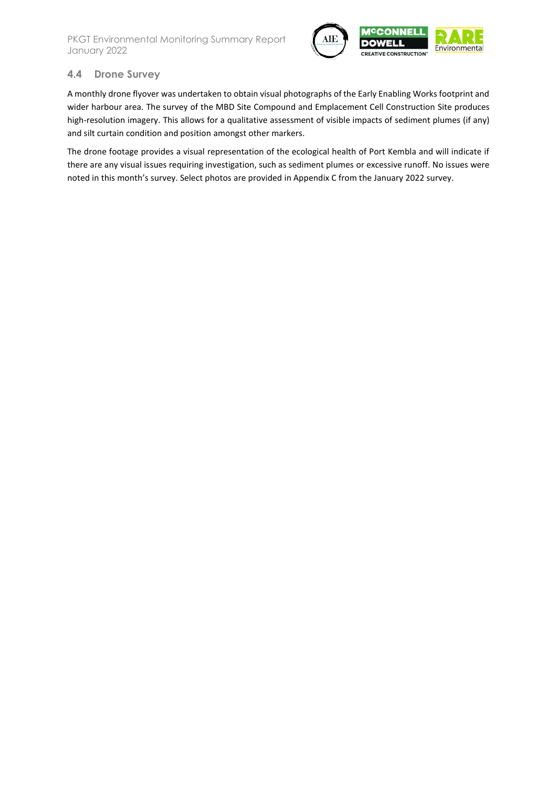

### <span id="page-13-0"></span>**4.4 Drone Survey**

A monthly drone flyover was undertaken to obtain visual photographs of the Early Enabling Works footprint and wider harbour area. The survey of the MBD Site Compound and Emplacement Cell Construction Site produces high-resolution imagery. This allows for a qualitative assessment of visible impacts of sediment plumes (if any) and silt curtain condition and position amongst other markers.

The drone footage provides a visual representation of the ecological health of Port Kembla and will indicate if there are any visual issues requiring investigation, such as sediment plumes or excessive runoff. No issues were noted in this month's survey. Select photos are provided in Appendix C from the January 2022 survey.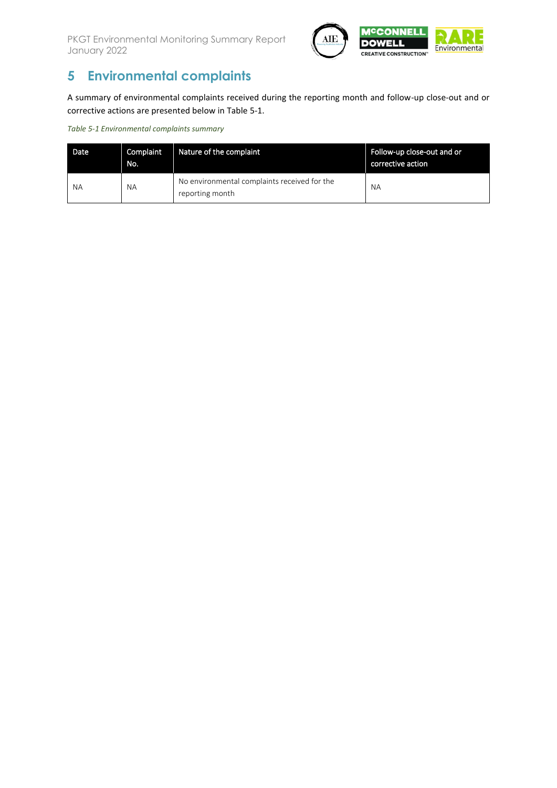

# **5 Environmental complaints**

A summary of environmental complaints received during the reporting month and follow-up close-out and or corrective actions are presented below i[n Table 5-1.](#page-14-0)

<span id="page-14-0"></span>*Table 5-1 Environmental complaints summary*

| Date | Complaint<br>No. | Nature of the complaint                                         | Follow-up close-out and or<br>corrective action |
|------|------------------|-----------------------------------------------------------------|-------------------------------------------------|
| NА   | <b>NA</b>        | No environmental complaints received for the<br>reporting month | <b>NA</b>                                       |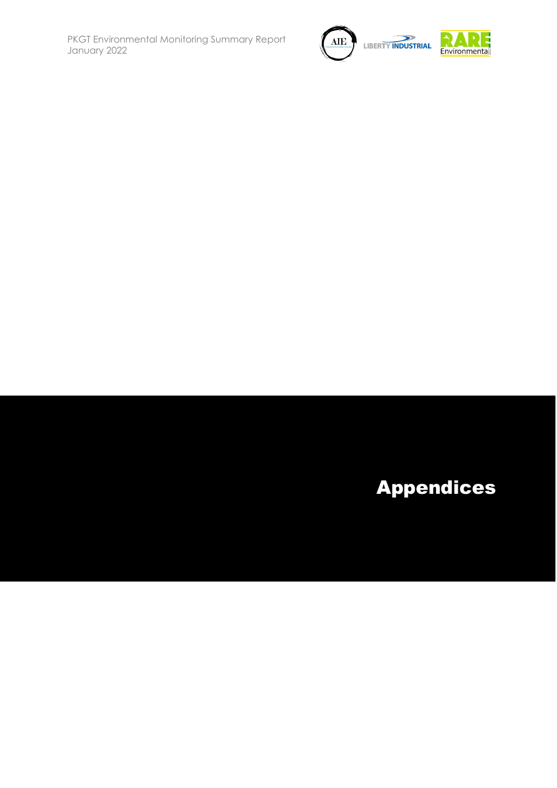

# Appendices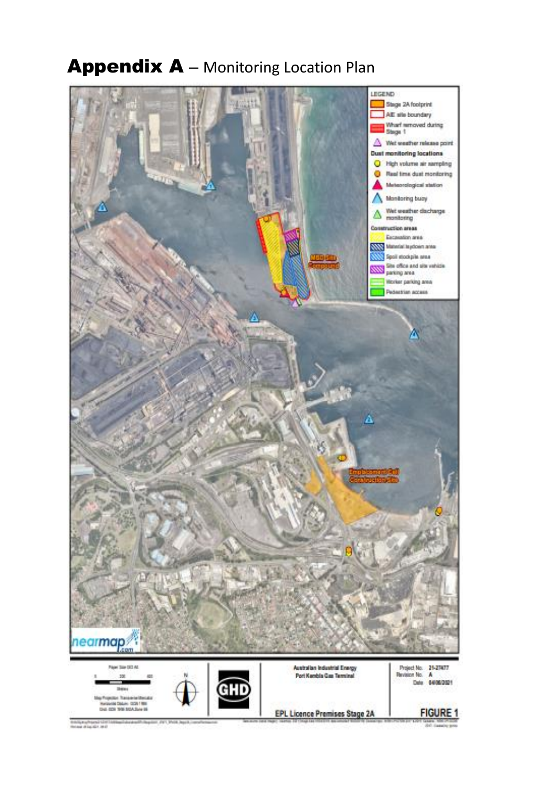

# Appendix A - Monitoring Location Plan

ije u Angelu II.<br>U državili 1. drž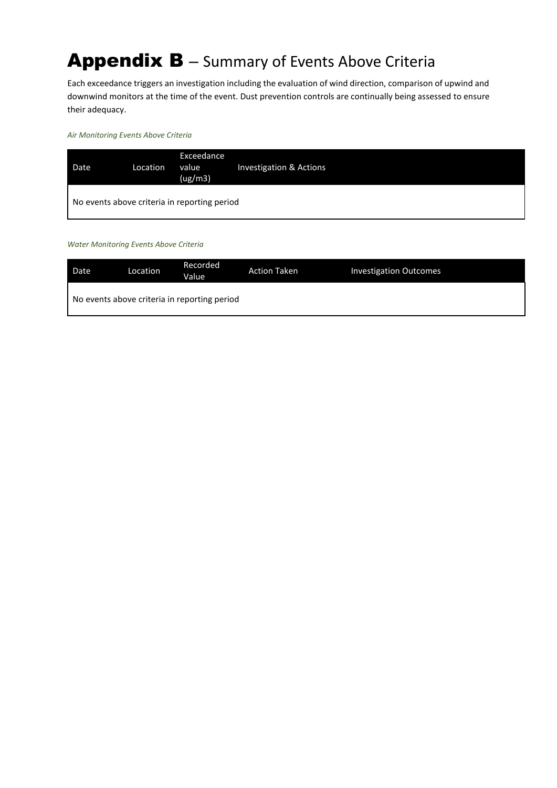# Appendix B - Summary of Events Above Criteria

Each exceedance triggers an investigation including the evaluation of wind direction, comparison of upwind and downwind monitors at the time of the event. Dust prevention controls are continually being assessed to ensure their adequacy.

*Air Monitoring Events Above Criteria*

| Date | Location | Exceedance<br>value<br>(ug/m3)               | Investigation & Actions |
|------|----------|----------------------------------------------|-------------------------|
|      |          | No events above criteria in reporting period |                         |

*Water Monitoring Events Above Criteria*

| Date | Location | Recorded<br>Value                            | <b>Action Taken</b> | <b>Investigation Outcomes</b> |
|------|----------|----------------------------------------------|---------------------|-------------------------------|
|      |          | No events above criteria in reporting period |                     |                               |